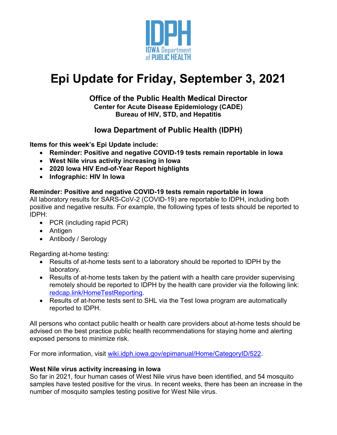

# **Epi Update for Friday, September 3, 2021**

### **Office of the Public Health Medical Director Center for Acute Disease Epidemiology (CADE) Bureau of HIV, STD, and Hepatitis**

# **Iowa Department of Public Health (IDPH)**

**Items for this week's Epi Update include:**

- **Reminder: Positive and negative COVID-19 tests remain reportable in Iowa**
- **West Nile virus activity increasing in Iowa**
- **2020 Iowa HIV End-of-Year Report highlights**
- **Infographic: HIV In Iowa**

### **Reminder: Positive and negative COVID-19 tests remain reportable in Iowa**

All laboratory results for SARS-CoV-2 (COVID-19) are reportable to IDPH, including both positive and negative results. For example, the following types of tests should be reported to IDPH:

- PCR (including rapid PCR)
- Antigen
- Antibody / Serology

Regarding at-home testing:

- Results of at-home tests sent to a laboratory should be reported to IDPH by the laboratory.
- Results of at-home tests taken by the patient with a health care provider supervising remotely should be reported to IDPH by the health care provider via the following link: [redcap.link/HomeTestReporting.](https://redcap.link/HomeTestReporting)
- Results of at-home tests sent to SHL via the Test Iowa program are automatically reported to IDPH.

All persons who contact public health or health care providers about at-home tests should be advised on the best practice public health recommendations for staying home and alerting exposed persons to minimize risk.

For more information, visit [wiki.idph.iowa.gov/epimanual/Home/CategoryID/522.](https://wiki.idph.iowa.gov/epimanual/Home/CategoryID/522)

### **West Nile virus activity increasing in Iowa**

So far in 2021, four human cases of West Nile virus have been identified, and 54 mosquito samples have tested positive for the virus. In recent weeks, there has been an increase in the number of mosquito samples testing positive for West Nile virus.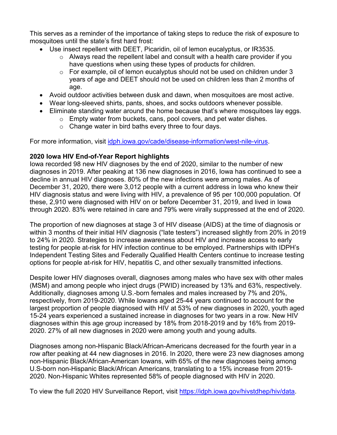This serves as a reminder of the importance of taking steps to reduce the risk of exposure to mosquitoes until the state's first hard frost:

- Use insect repellent with DEET, Picaridin, oil of lemon eucalyptus, or IR3535.
	- $\circ$  Always read the repellent label and consult with a health care provider if you have questions when using these types of products for children.
	- $\circ$  For example, oil of lemon eucalyptus should not be used on children under 3 years of age and DEET should not be used on children less than 2 months of age.
- Avoid outdoor activities between dusk and dawn, when mosquitoes are most active.
- Wear long-sleeved shirts, pants, shoes, and socks outdoors whenever possible.
- Eliminate standing water around the home because that's where mosquitoes lay eggs.
	- o Empty water from buckets, cans, pool covers, and pet water dishes.
	- $\circ$  Change water in bird baths every three to four days.

For more information, visit *[idph.iowa.gov/cade/disease-information/west-nile-virus.](http://idph.iowa.gov/cade/disease-information/west-nile-virus)* 

#### **2020 Iowa HIV End-of-Year Report highlights**

Iowa recorded 98 new HIV diagnoses by the end of 2020, similar to the number of new diagnoses in 2019. After peaking at 136 new diagnoses in 2016, Iowa has continued to see a decline in annual HIV diagnoses. 80% of the new infections were among males. As of December 31, 2020, there were 3,012 people with a current address in Iowa who knew their HIV diagnosis status and were living with HIV, a prevalence of 95 per 100,000 population. Of these, 2,910 were diagnosed with HIV on or before December 31, 2019, and lived in Iowa through 2020. 83% were retained in care and 79% were virally suppressed at the end of 2020.

The proportion of new diagnoses at stage 3 of HIV disease (AIDS) at the time of diagnosis or within 3 months of their initial HIV diagnosis ("late testers") increased slightly from 20% in 2019 to 24% in 2020. Strategies to increase awareness about HIV and increase access to early testing for people at-risk for HIV infection continue to be employed. Partnerships with IDPH's Independent Testing Sites and Federally Qualified Health Centers continue to increase testing options for people at-risk for HIV, hepatitis C, and other sexually transmitted infections.

Despite lower HIV diagnoses overall, diagnoses among males who have sex with other males (MSM) and among people who inject drugs (PWID) increased by 13% and 63%, respectively. Additionally, diagnoses among U.S.-born females and males increased by 7% and 20%, respectively, from 2019-2020. While Iowans aged 25-44 years continued to account for the largest proportion of people diagnosed with HIV at 53% of new diagnoses in 2020, youth aged 15-24 years experienced a sustained increase in diagnoses for two years in a row. New HIV diagnoses within this age group increased by 18% from 2018-2019 and by 16% from 2019- 2020. 27% of all new diagnoses in 2020 were among youth and young adults.

Diagnoses among non-Hispanic Black/African-Americans decreased for the fourth year in a row after peaking at 44 new diagnoses in 2016. In 2020, there were 23 new diagnoses among non-Hispanic Black/African-American Iowans, with 65% of the new diagnoses being among U.S-born non-Hispanic Black/African Americans, translating to a 15% increase from 2019- 2020. Non-Hispanic Whites represented 58% of people diagnosed with HIV in 2020.

To view the full 2020 HIV Surveillance Report, visit [https://idph.iowa.gov/hivstdhep/hiv/data.](https://idph.iowa.gov/hivstdhep/hiv/data)